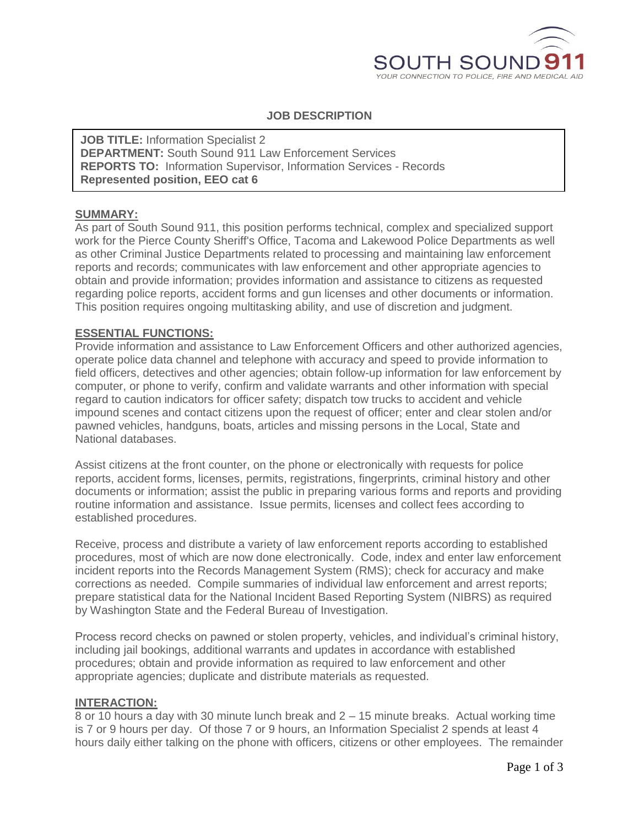

# **JOB DESCRIPTION**

**JOB TITLE: Information Specialist 2 DEPARTMENT:** South Sound 911 Law Enforcement Services **REPORTS TO:** Information Supervisor, Information Services - Records **Represented position, EEO cat 6**

## **SUMMARY:**

As part of South Sound 911, this position performs technical, complex and specialized support work for the Pierce County Sheriff's Office, Tacoma and Lakewood Police Departments as well as other Criminal Justice Departments related to processing and maintaining law enforcement reports and records; communicates with law enforcement and other appropriate agencies to obtain and provide information; provides information and assistance to citizens as requested regarding police reports, accident forms and gun licenses and other documents or information. This position requires ongoing multitasking ability, and use of discretion and judgment.

### **ESSENTIAL FUNCTIONS:**

Provide information and assistance to Law Enforcement Officers and other authorized agencies, operate police data channel and telephone with accuracy and speed to provide information to field officers, detectives and other agencies; obtain follow-up information for law enforcement by computer, or phone to verify, confirm and validate warrants and other information with special regard to caution indicators for officer safety; dispatch tow trucks to accident and vehicle impound scenes and contact citizens upon the request of officer; enter and clear stolen and/or pawned vehicles, handguns, boats, articles and missing persons in the Local, State and National databases.

Assist citizens at the front counter, on the phone or electronically with requests for police reports, accident forms, licenses, permits, registrations, fingerprints, criminal history and other documents or information; assist the public in preparing various forms and reports and providing routine information and assistance. Issue permits, licenses and collect fees according to established procedures.

Receive, process and distribute a variety of law enforcement reports according to established procedures, most of which are now done electronically. Code, index and enter law enforcement incident reports into the Records Management System (RMS); check for accuracy and make corrections as needed. Compile summaries of individual law enforcement and arrest reports; prepare statistical data for the National Incident Based Reporting System (NIBRS) as required by Washington State and the Federal Bureau of Investigation.

Process record checks on pawned or stolen property, vehicles, and individual's criminal history, including jail bookings, additional warrants and updates in accordance with established procedures; obtain and provide information as required to law enforcement and other appropriate agencies; duplicate and distribute materials as requested.

### **INTERACTION:**

8 or 10 hours a day with 30 minute lunch break and 2 – 15 minute breaks. Actual working time is 7 or 9 hours per day. Of those 7 or 9 hours, an Information Specialist 2 spends at least 4 hours daily either talking on the phone with officers, citizens or other employees. The remainder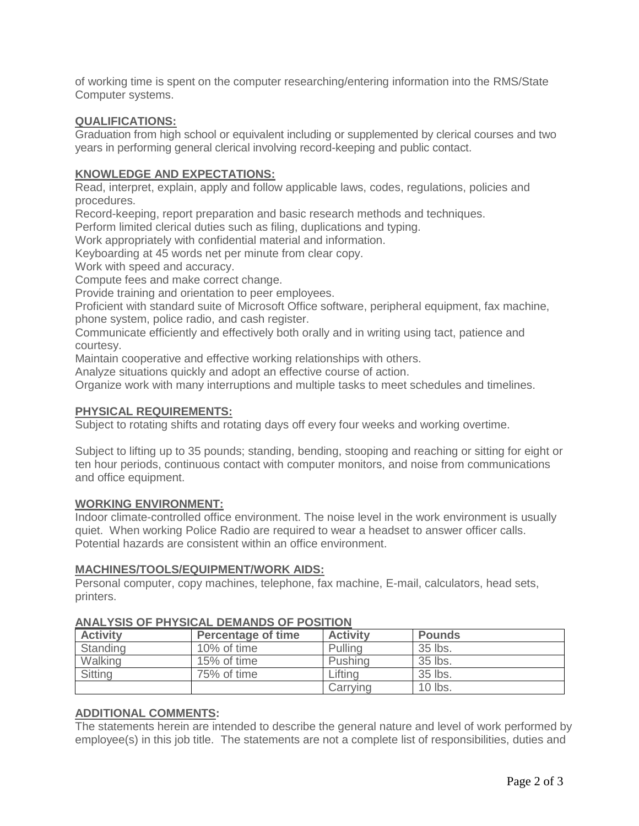of working time is spent on the computer researching/entering information into the RMS/State Computer systems.

## **QUALIFICATIONS:**

Graduation from high school or equivalent including or supplemented by clerical courses and two years in performing general clerical involving record-keeping and public contact.

## **KNOWLEDGE AND EXPECTATIONS:**

Read, interpret, explain, apply and follow applicable laws, codes, regulations, policies and procedures.

Record-keeping, report preparation and basic research methods and techniques.

Perform limited clerical duties such as filing, duplications and typing.

Work appropriately with confidential material and information.

Keyboarding at 45 words net per minute from clear copy.

Work with speed and accuracy.

Compute fees and make correct change.

Provide training and orientation to peer employees.

Proficient with standard suite of Microsoft Office software, peripheral equipment, fax machine, phone system, police radio, and cash register.

Communicate efficiently and effectively both orally and in writing using tact, patience and courtesy.

Maintain cooperative and effective working relationships with others.

Analyze situations quickly and adopt an effective course of action.

Organize work with many interruptions and multiple tasks to meet schedules and timelines.

#### **PHYSICAL REQUIREMENTS:**

Subject to rotating shifts and rotating days off every four weeks and working overtime.

Subject to lifting up to 35 pounds; standing, bending, stooping and reaching or sitting for eight or ten hour periods, continuous contact with computer monitors, and noise from communications and office equipment.

#### **WORKING ENVIRONMENT:**

Indoor climate-controlled office environment. The noise level in the work environment is usually quiet. When working Police Radio are required to wear a headset to answer officer calls. Potential hazards are consistent within an office environment.

### **MACHINES/TOOLS/EQUIPMENT/WORK AIDS:**

Personal computer, copy machines, telephone, fax machine, E-mail, calculators, head sets, printers.

| <b>Activity</b> | <b>Percentage of time</b> | <b>Activity</b> | <b>Pounds</b> |  |
|-----------------|---------------------------|-----------------|---------------|--|
| Standing        | 10% of time               | Pulling         | 35 lbs.       |  |
| Walking         | 15% of time               | Pushing         | 35 lbs.       |  |
| <b>Sitting</b>  | 75% of time               | Lifting         | 35 lbs.       |  |
|                 |                           | Carrying        | 10 lbs.       |  |

## **ANALYSIS OF PHYSICAL DEMANDS OF POSITION**

## **ADDITIONAL COMMENTS:**

The statements herein are intended to describe the general nature and level of work performed by employee(s) in this job title. The statements are not a complete list of responsibilities, duties and